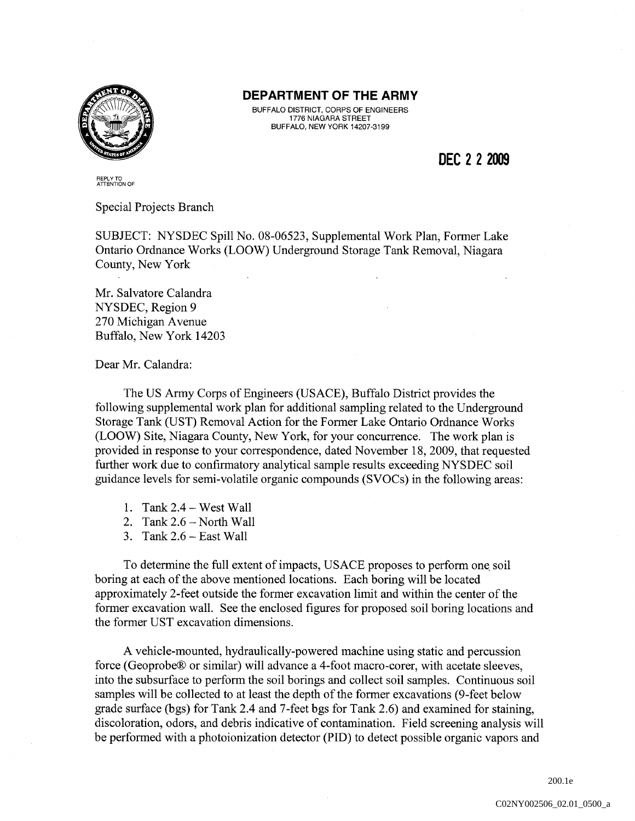

## DEPARTMENT OF THE ARMY

BUFFALO DISTRICT, CORPS OF ENGINEERS 1776 NIAGARA STREET BUFFALO, NEW YORK 14207-3199

**DEC 2 2 2009** 

REPLY TO ATTENTION OF

Special Projects Branch

SUBJECT: NYSDEC Spill No. 08-06523, Supplemental Work Plan, Former Lake Ontario Ordnance Works (LOOW) Underground Storage Tank Removal, Niagara County, New York

Mr. Salvatore Calandra NYSDEC, Region 9 270 Michigan A venue Buffalo, New York 14203

Dear Mr. Calandra:

The US Army Corps of Engineers (USACE), Buffalo District provides the following supplemental work plan for additional sampling related to the Underground Storage Tank (UST) Removal Action for the Former Lake Ontario Ordnance Works (LOOW) Site, Niagara County, New York, for your concurrence. The work plan is provided in response to your correspondence, dated November 18,2009, that requested further work due to confirmatory analytical sample results exceeding NYSDEC soil guidance levels for semi-volatile organic compounds (SVOCs) in the following areas:

- 1. Tank 2.4 West Wall
- 2. Tank  $2.6$  North Wall
- 3. Tank  $2.6$  East Wall

To determine the full extent of impacts, USACE proposes to perform one. soil boring at each of the above mentioned locations. Each boring will be located approximately 2-feet outside the former excavation limit and within the center of the former excavation wall. See the enclosed figures for proposed soil boring locations and the former UST excavation dimensions.

A vehicle-mounted, hydraulically-powered machine using static and percussion force (Geoprobe® or similar) will advance a 4-foot macro-corer, with acetate sleeves, into the subsurface to perform the soil borings and collect soil samples. Continuous soil samples will be collected to at least the depth of the former excavations (9-feet below grade surface (bgs) for Tank 2.4 and 7-feet bgs for Tank 2.6) and examined for staining, discoloration, odors, and debris indicative of contamination. Field screening analysis will be performed with a photoionization detector (PID) to detect possible organic vapors and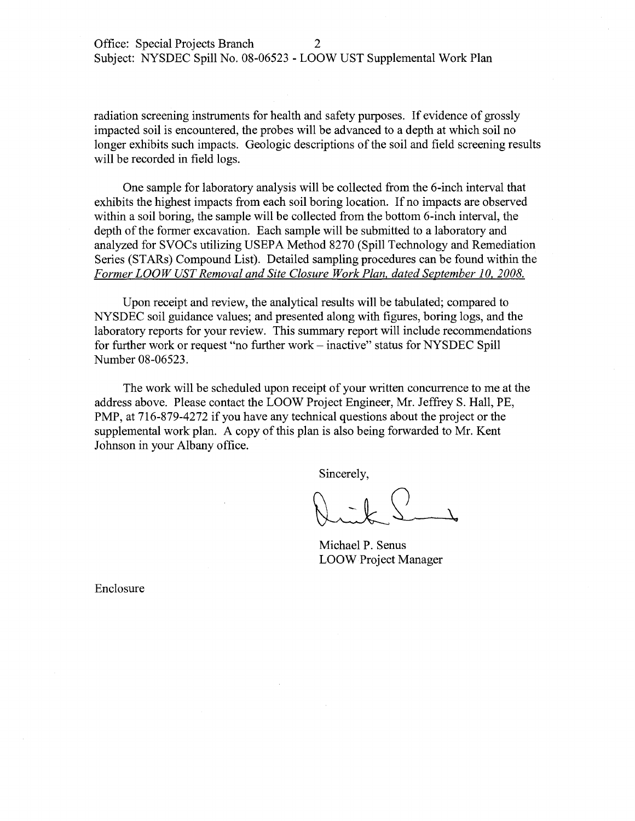radiation screening instruments for health and safety purposes. If evidence of grossly impacted soil is encountered, the probes will be advanced to a depth at which soil no longer exhibits such impacts. Geologic descriptions of the soil and field screening results will be recorded in field logs.

One sample for laboratory analysis will be collected from the 6-inch interval that exhibits the highest impacts from each soil boring location. If no impacts are observed within a soil boring, the sample will be collected from the bottom 6-inch interval, the depth of the former excavation. Each sample will be submitted to a laboratory and analyzed for SVOCs utilizing USEPA Method 8270 (Spill Technology and Remediation Series (STARs) Compound List). Detailed sampling procedures can be found within the *Former LOOW UST Removal and Site Closure Work Plan, dated September 10, 2008.* 

Upon receipt and review, the analytical results will be tabulated; compared to NYSDEC soil guidance values; and presented along with figures, boring logs, and the laboratory reports for your review. This summary report will include recommendations for further work or request "no further work – inactive" status for NYSDEC Spill Number 08-06523.

The work will be scheduled upon receipt of your written concurrence to me at the address above. Please contact the LOOW Project Engineer, Mr. Jeffrey S. Hall, PE, PMP, at 716-879-4272 if you have any technical questions about the project or the supplemental work plan. A copy of this plan is also being forwarded to Mr. Kent Johnson in your Albany office.

Sincerely,

Michael P. Senus LOOW Project Manager

Enclosure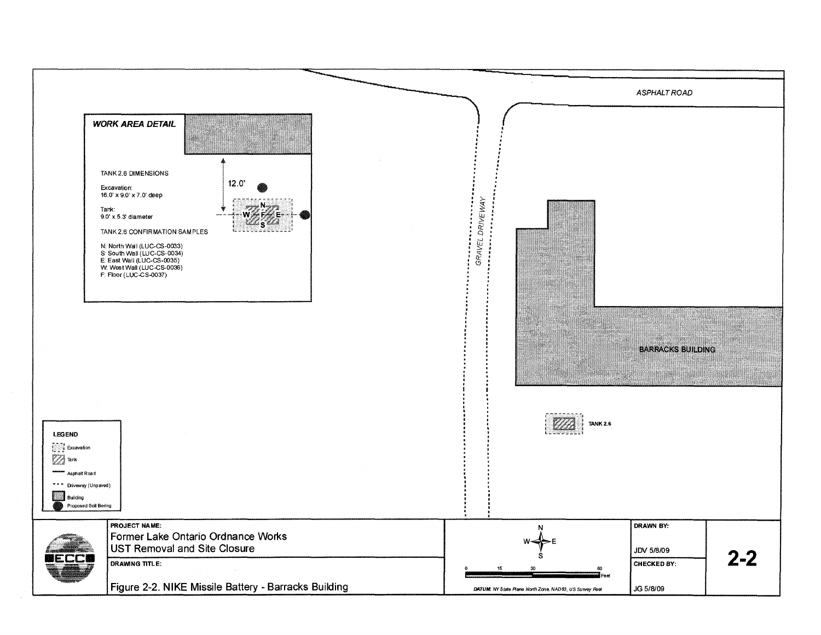